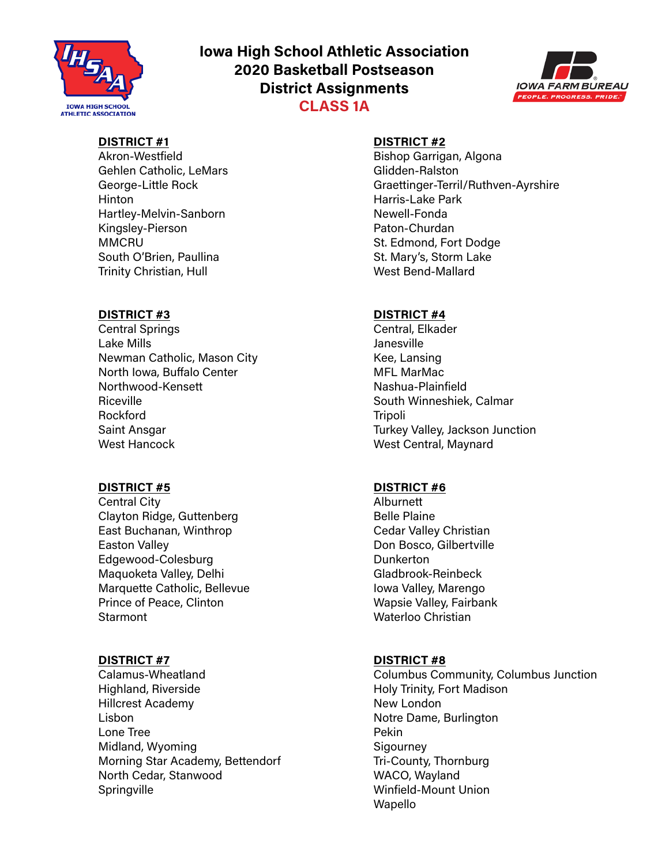

# **Iowa High School Athletic Association 2020 Basketball Postseason District Assignments CLASS 1A**



# **DISTRICT #1**

Akron-Westfield Gehlen Catholic, LeMars George-Little Rock **Hinton** Hartley-Melvin-Sanborn Kingsley-Pierson **MMCRU** South O'Brien, Paullina Trinity Christian, Hull

# **DISTRICT #3**

Central Springs Lake Mills Newman Catholic, Mason City North Iowa, Buffalo Center Northwood-Kensett Riceville Rockford Saint Ansgar West Hancock

# **DISTRICT #5**

Central City Clayton Ridge, Guttenberg East Buchanan, Winthrop Easton Valley Edgewood-Colesburg Maquoketa Valley, Delhi Marquette Catholic, Bellevue Prince of Peace, Clinton **Starmont** 

# **DISTRICT #7**

Calamus-Wheatland Highland, Riverside Hillcrest Academy Lisbon Lone Tree Midland, Wyoming Morning Star Academy, Bettendorf North Cedar, Stanwood **Springville** 

## **DISTRICT #2**

Bishop Garrigan, Algona Glidden-Ralston Graettinger-Terril/Ruthven-Ayrshire Harris-Lake Park Newell-Fonda Paton-Churdan St. Edmond, Fort Dodge St. Mary's, Storm Lake West Bend-Mallard

## **DISTRICT #4**

Central, Elkader Janesville Kee, Lansing MFL MarMac Nashua-Plainfield South Winneshiek, Calmar Tripoli Turkey Valley, Jackson Junction West Central, Maynard

# **DISTRICT #6**

Alburnett Belle Plaine Cedar Valley Christian Don Bosco, Gilbertville **Dunkerton** Gladbrook-Reinbeck Iowa Valley, Marengo Wapsie Valley, Fairbank Waterloo Christian

### **DISTRICT #8**

Columbus Community, Columbus Junction Holy Trinity, Fort Madison New London Notre Dame, Burlington Pekin Sigourney Tri-County, Thornburg WACO, Wayland Winfield-Mount Union Wapello